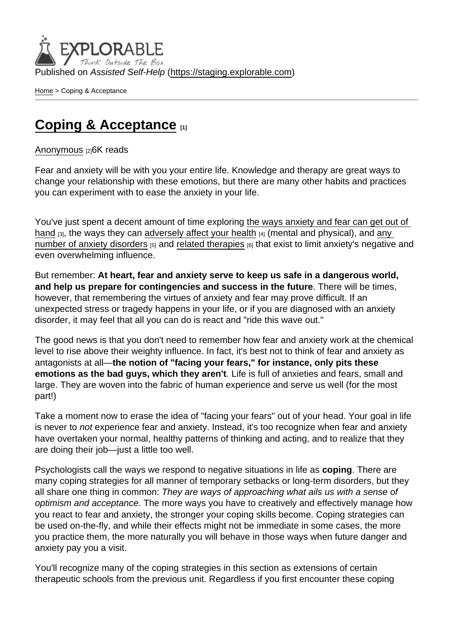[Home](https://staging.explorable.com/en) > Coping & Acceptance

## [Coping & Acceptance](https://staging.explorable.com/en/e/coping-acceptance)  $_{11}$

## [Anonymous](https://staging.explorable.com/en/users/grharriman) [2]6K reads

Fear and anxiety will be with you your entire life. Knowledge and therapy are great ways to change your relationship with these emotions, but there are many other habits and practices you can experiment with to ease the anxiety in your life.

You've just spent a decent amount of time exploring [the ways anxiety and fear can get out of](https://explorable.com/2-what-is-fear-what-is-anxiety)  [hand](https://explorable.com/2-what-is-fear-what-is-anxiety)  $[3]$ , the ways they can [adversely affect your health](https://explorable.com/the-physical-psychological-risks-of-anxiety)  $[4]$  (mental and physical), and any [number of anxiety disorders](https://explorable.com/common-anxiety-disorders) [5] and [related therapies](https://explorable.com/therapies-for-anxiety) [6] that exist to limit anxiety's negative and even overwhelming influence.

But remember: At heart, fear and anxiety serve to keep us safe in a dangerous world, and help us prepare for contingencies and success in the future . There will be times, however, that remembering the virtues of anxiety and fear may prove difficult. If an unexpected stress or tragedy happens in your life, or if you are diagnosed with an anxiety disorder, it may feel that all you can do is react and "ride this wave out."

The good news is that you don't need to remember how fear and anxiety work at the chemical level to rise above their weighty influence. In fact, it's best not to think of fear and anxiety as antagonists at all—the notion of "facing your fears," for instance, only pits these emotions as the bad guys, which they aren't . Life is full of anxieties and fears, small and large. They are woven into the fabric of human experience and serve us well (for the most part!)

Take a moment now to erase the idea of "facing your fears" out of your head. Your goal in life is never to not experience fear and anxiety. Instead, it's too recognize when fear and anxiety have overtaken your normal, healthy patterns of thinking and acting, and to realize that they are doing their job—just a little too well.

Psychologists call the ways we respond to negative situations in life as coping . There are many coping strategies for all manner of temporary setbacks or long-term disorders, but they all share one thing in common: They are ways of approaching what ails us with a sense of optimism and acceptance. The more ways you have to creatively and effectively manage how you react to fear and anxiety, the stronger your coping skills become. Coping strategies can be used on-the-fly, and while their effects might not be immediate in some cases, the more you practice them, the more naturally you will behave in those ways when future danger and anxiety pay you a visit.

You'll recognize many of the coping strategies in this section as extensions of certain therapeutic schools from the previous unit. Regardless if you first encounter these coping